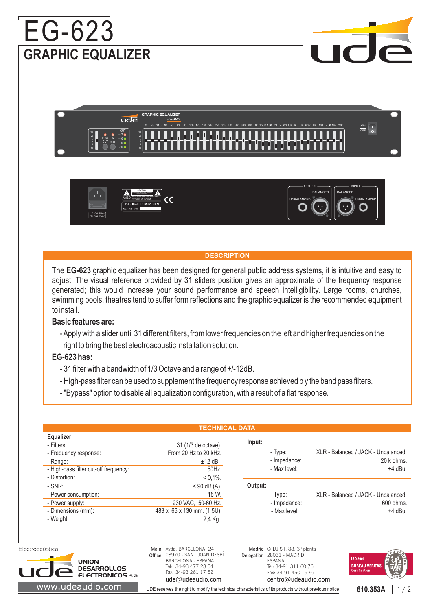# **GRAPHIC EQUALIZER** EG-623

**GRAPHIC EQUALIZER EG-623** 20 25 31.5 40 50 63 80 100 125 160 200 250 315 400 500 630 800 1K 1.25K 1.6K 2K 2.5K 3.15K 4K 5K 6.3K 8K 10K 12.5K 16K 20K **ON OFF** |<del>\_</del>@\_@\_@\_@\_@\_@\_ OUT  $\overline{\phantom{a}}$ <u>-A-A-A-</u> +12 ● UUI +12 +17  $+6$  +6  $+6$  +6  $+6$  +6  $+6$  +6  $+6$  +6  $+6$  +6  $+6$  +6  $+6$  +6  $+6$  +6  $+6$  +6  $+6$  +6  $+6$  +6  $+6$  +6  $+6$  +6  $+6$  +6  $+6$  +6  $+6$  +6  $+6$  +6  $+6$  +6  $+6$  +6  $+6$  +6  $+6$  +6  $+6$  +6  $+6$  +6  $+6$  +6  $+6$  +6  $+6$  +6  $+6$  LOW IN OUT +10 <sup>0</sup> این חומ הוח II 0 CUT 0 -6 -6 -10  $-12$   $-10$   $-12$ 



#### **DESCRIPTION**

The EG-623 graphic equalizer has been designed for general public address systems, it is intuitive and easy to adjust. The visual reference provided by 31 sliders position gives an approximate of the frequency response generated; this would increase your sound performance and speech intelligibility. Large rooms, churches, swimming pools, theatres tend to suffer form reflections and the graphic equalizer is the recommended equipment to install.

### **Basic features are:**

-Apply with a slider until 31 different filters, from lower frequencies on the left and higher frequencies on the right to bring the best electroacoustic installation solution.

### **EG-623 has:**

- 31 filter with a bandwidth of 1/3 Octave and a range of +/-12dB.
- High-pass filter can be used to supplement the frequency response achieved b y the band pass filters.
- "Bypass" option to disable all equalization configuration, with a result of a flat response.

|                                       | <b>TECHNICAL DATA</b>      |                                                   |                                                                |
|---------------------------------------|----------------------------|---------------------------------------------------|----------------------------------------------------------------|
| Equalizer:                            |                            |                                                   |                                                                |
| - Filters:                            | 31 (1/3 de octave).        | Input:<br>- Type:<br>- Impedance:<br>- Max level: | XLR - Balanced / JACK - Unbalanced.<br>20 k ohms.<br>$+4$ dBu. |
| - Frequency response:                 | From 20 Hz to 20 kHz.      |                                                   |                                                                |
| - Range:                              | $±12$ dB.                  |                                                   |                                                                |
| - High-pass filter cut-off frequency: | 50Hz.                      |                                                   |                                                                |
| - Distortion:                         | $< 0.1\%$ .                |                                                   |                                                                |
| $-SNR:$                               | $<$ 90 dB (A).'            | Output:                                           |                                                                |
| - Power consumption:                  | 15 W.                      | - Type:<br>- Impedance:<br>- Max level:           | XLR - Balanced / JACK - Unbalanced.<br>600 ohms.<br>$+4$ dBu.  |
| - Power supply:                       | 230 VAC, 50-60 Hz.         |                                                   |                                                                |
| - Dimensions (mm):                    | 483 x 66 x 130 mm. (1,5U). |                                                   |                                                                |
| - Weight:                             | 2,4 Kg.                    |                                                   |                                                                |